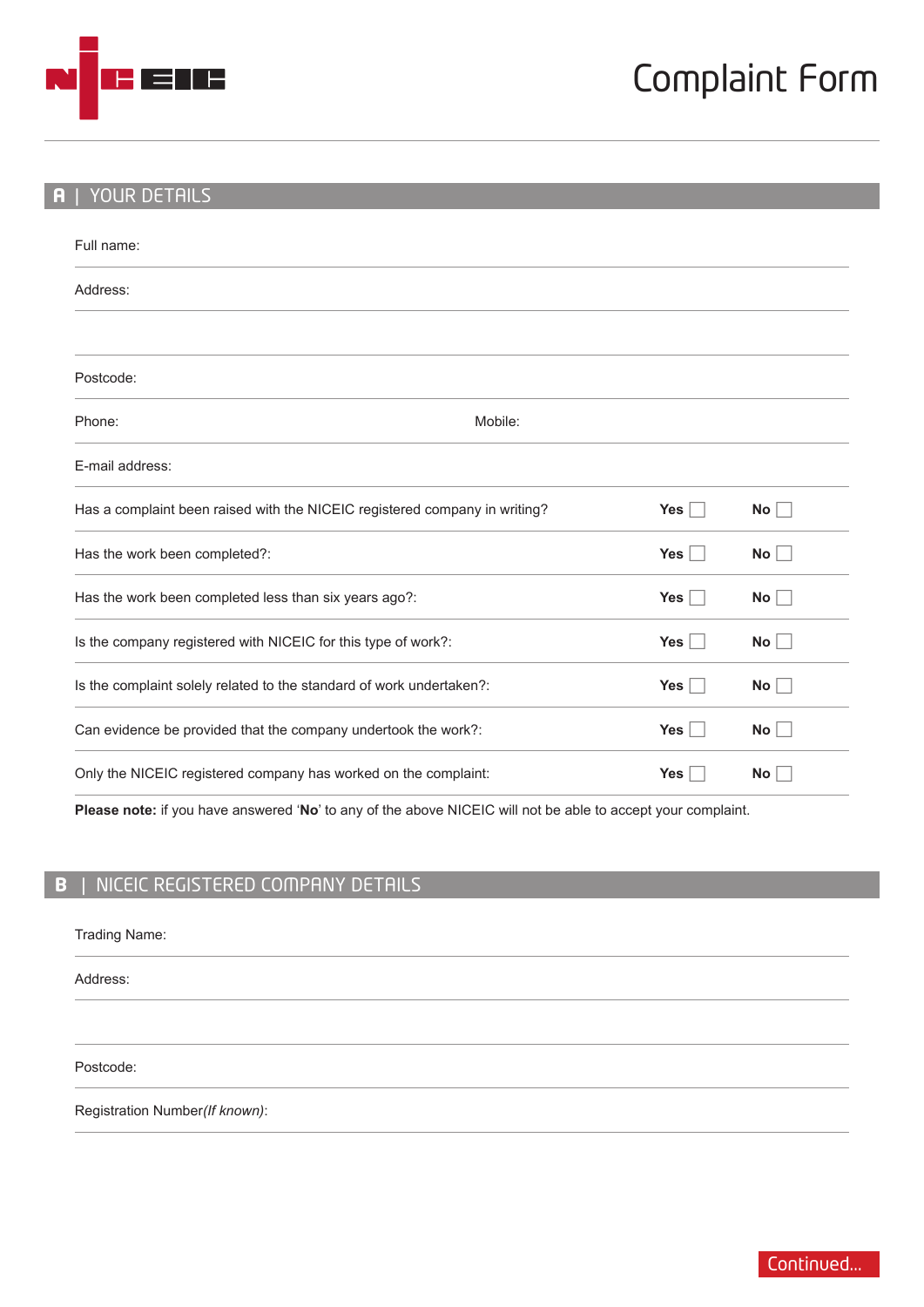

#### **A** | YOUR DETAILS

| Full name:                                                                 |         |            |                 |
|----------------------------------------------------------------------------|---------|------------|-----------------|
| Address:                                                                   |         |            |                 |
| Postcode:                                                                  |         |            |                 |
| Phone:                                                                     | Mobile: |            |                 |
| E-mail address:                                                            |         |            |                 |
| Has a complaint been raised with the NICEIC registered company in writing? |         | Yes        | <b>No</b>       |
| Has the work been completed?:                                              |         | <b>Yes</b> | No              |
| Has the work been completed less than six years ago?:                      |         | <b>Yes</b> | No              |
| Is the company registered with NICEIC for this type of work?:              |         | Yes $ $    | No <sub>1</sub> |
| Is the complaint solely related to the standard of work undertaken?:       |         | Yes $ $    | No              |
| Can evidence be provided that the company undertook the work?:             |         | <b>Yes</b> | <b>No</b>       |
| Only the NICEIC registered company has worked on the complaint:            |         | <b>Yes</b> | <b>No</b>       |

**Please note:** if you have answered '**No**' to any of the above NICEIC will not be able to accept your complaint.

# **B** | NICEIC REGISTERED COMPANY DETAILS

| Trading Name: |  |
|---------------|--|
|---------------|--|

Address:

Postcode:

Registration Number*(If known)*: